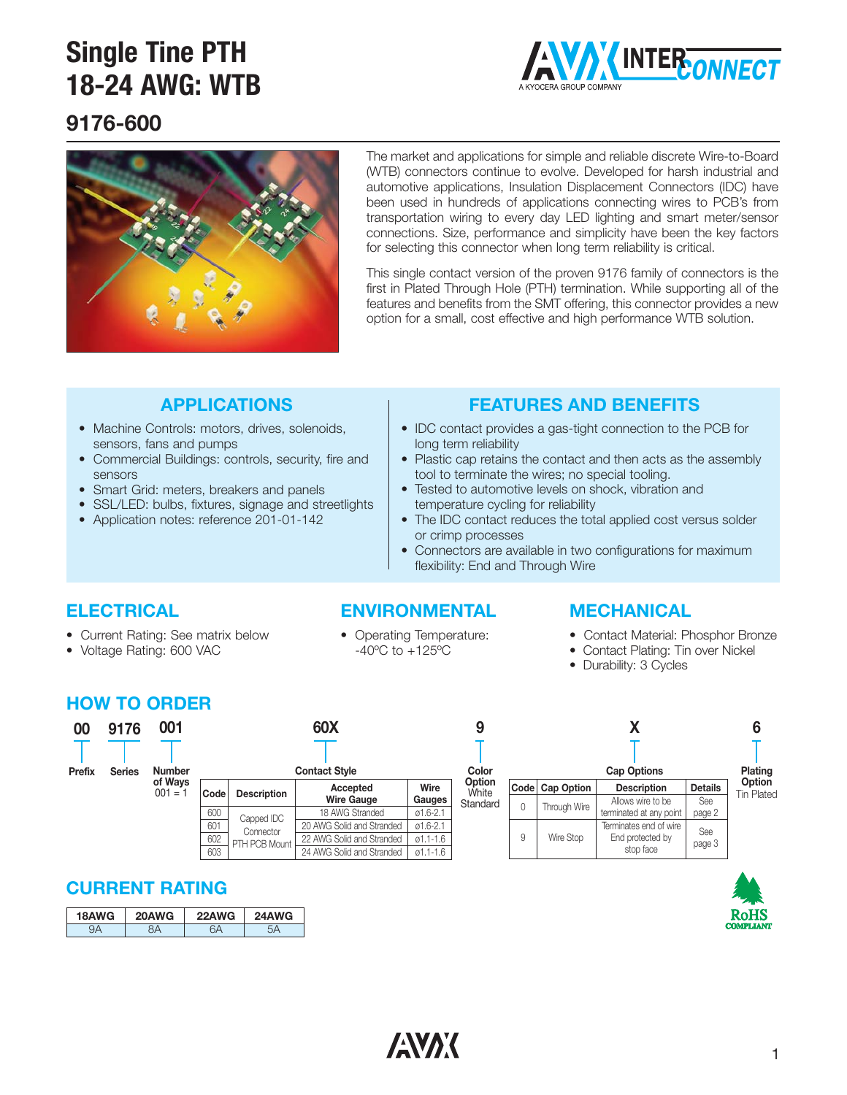

# **9176-600**



The market and applications for simple and reliable discrete Wire-to-Board (WTB) connectors continue to evolve. Developed for harsh industrial and automotive applications, Insulation Displacement Connectors (IDC) have been used in hundreds of applications connecting wires to PCB's from transportation wiring to every day LED lighting and smart meter/sensor connections. Size, performance and simplicity have been the key factors for selecting this connector when long term reliability is critical.

This single contact version of the proven 9176 family of connectors is the first in Plated Through Hole (PTH) termination. While supporting all of the features and benefits from the SMT offering, this connector provides a new option for a small, cost effective and high performance WTB solution.

### **APPLICATIONS**

- Machine Controls: motors, drives, solenoids, sensors, fans and pumps
- Commercial Buildings: controls, security, fire and sensors
- Smart Grid: meters, breakers and panels
- SSL/LED: bulbs, fixtures, signage and streetlights
- Application notes: reference 201-01-142

### **FEATURES AND BENEFITS**

- IDC contact provides a gas-tight connection to the PCB for long term reliability
- Plastic cap retains the contact and then acts as the assembly tool to terminate the wires; no special tooling.
- Tested to automotive levels on shock, vibration and temperature cycling for reliability
- The IDC contact reduces the total applied cost versus solder or crimp processes
- Connectors are available in two configurations for maximum flexibility: End and Through Wire

### **ELECTRICAL**

- Current Rating: See matrix below
- Voltage Rating: 600 VAC
- **ENVIRONMENTAL** • Operating Temperature:

 $-40^{\circ}$ C to  $+125^{\circ}$ C

### **MECHANICAL**

- Contact Material: Phosphor Bronze
- Contact Plating: Tin over Nickel
- Durability: 3 Cycles

### **HOW TO ORDER**

| 00<br>Prefix | 9176<br><b>Series</b> | 001<br><b>Number</b> |                          | 60X<br><b>Contact Style</b>              |                                                                                                        |                                                              |                                    |
|--------------|-----------------------|----------------------|--------------------------|------------------------------------------|--------------------------------------------------------------------------------------------------------|--------------------------------------------------------------|------------------------------------|
|              |                       | of Ways<br>$001 = 1$ | Code                     | <b>Description</b>                       | Accepted<br><b>Wire Gauge</b>                                                                          | Wire<br>Gauges                                               | <b>Option</b><br>White<br>Standard |
|              |                       |                      | 600<br>601<br>602<br>603 | Capped IDC<br>Connector<br>PTH PCB Mount | 18 AWG Stranded<br>20 AWG Solid and Stranded<br>22 AWG Solid and Stranded<br>24 AWG Solid and Stranded | $01.6 - 2.1$<br>$01.6 - 2.1$<br>$01.1 - 1.6$<br>$01.1 - 1.6$ |                                    |

| n<br>÷. |      | Plating           |                                                         |                |                             |
|---------|------|-------------------|---------------------------------------------------------|----------------|-----------------------------|
|         | Code | <b>Cap Option</b> | <b>Description</b>                                      | <b>Details</b> | Option<br><b>Tin Plated</b> |
| ırd     | 0    | Through Wire      | Allows wire to be<br>terminated at any point            | See<br>page 2  |                             |
|         | 9    | Wire Stop         | Terminates end of wire<br>End protected by<br>stop face | See<br>page 3  |                             |



| 18AWG | 20AWG | <b>WG</b><br><b>22AW</b> | 24AWG |
|-------|-------|--------------------------|-------|
|       |       |                          |       |



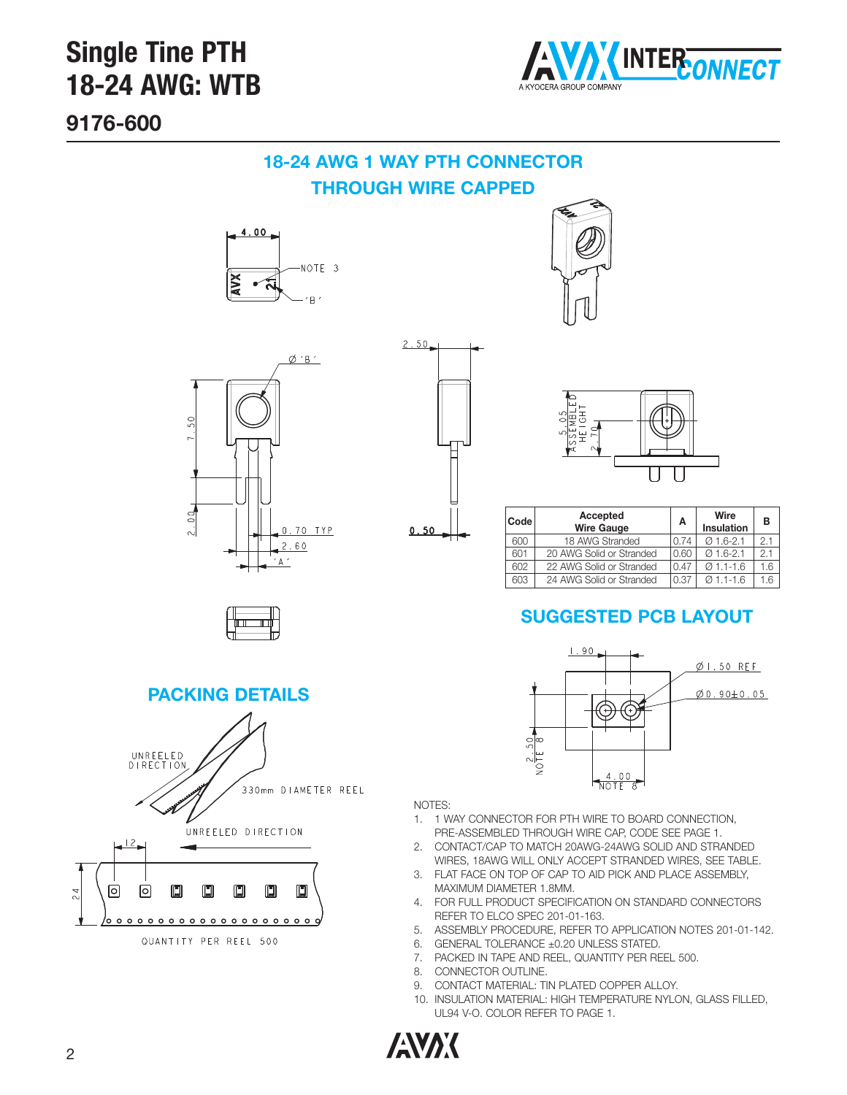

**9176-600**

## **18-24 AWG 1 WAY PTH CONNECTOR THROUGH WIRE CAPPED**

 $2.50$ 

 $0.50$ 









| <b>Code</b> | Accepted<br><b>Wire Gauge</b> | A    | Wire<br><b>Insulation</b> | в   |
|-------------|-------------------------------|------|---------------------------|-----|
| 600         | 18 AWG Stranded               | 0.74 | $Q$ 1.6-2.1               | 2.1 |
| 601         | 20 AWG Solid or Stranded      | 0.60 | $Q$ 1.6-2.1               | 2.1 |
| 602         | 22 AWG Solid or Stranded      | 0.47 | $Q$ 1.1-1.6               | 1.6 |
| 603         | 24 AWG Solid or Stranded      | 0.37 | $0.11 - 1.6$              |     |

# **SUGGESTED PCB LAYOUT**



#### NOTES:

- 1. 1 WAY CONNECTOR FOR PTH WIRE TO BOARD CONNECTION, PRE-ASSEMBLED THROUGH WIRE CAP, CODE SEE PAGE 1.
- 2. CONTACT/CAP TO MATCH 20AWG-24AWG SOLID AND STRANDED WIRES, 18AWG WILL ONLY ACCEPT STRANDED WIRES, SEE TABLE.
- 3. FLAT FACE ON TOP OF CAP TO AID PICK AND PLACE ASSEMBLY, MAXIMUM DIAMETER 1.8MM.
- 4. FOR FULL PRODUCT SPECIFICATION ON STANDARD CONNECTORS REFER TO ELCO SPEC 201-01-163.
- 5. ASSEMBLY PROCEDURE, REFER TO APPLICATION NOTES 201-01-142.
- 6. GENERAL TOLERANCE ±0.20 UNLESS STATED.
- 7. PACKED IN TAPE AND REEL, QUANTITY PER REEL 500.
- 8. CONNECTOR OUTLINE.
- 9. CONTACT MATERIAL: TIN PLATED COPPER ALLOY.
- 10. INSULATION MATERIAL: HIGH TEMPERATURE NYLON, GLASS FILLED, UL94 V-O. COLOR REFER TO PAGE 1.



**ANAK**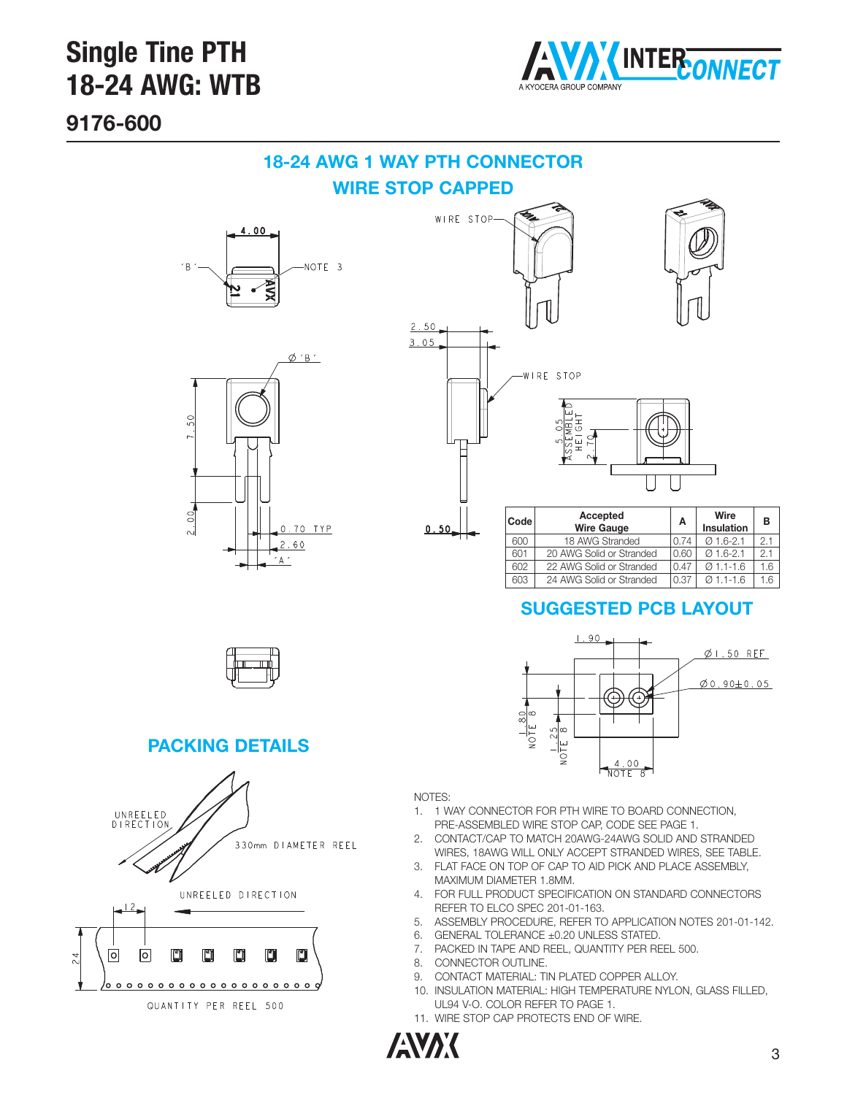

**9176-600**

## **18-24 AWG 1 WAY PTH CONNECTOR WIRE STOP CAPPED**





WIRE STOP- $2.50$  $3.05$ WIRE STOP  $\frac{0.05}{0.001E}$ **Code Accepted A Wire <sup>B</sup> Wire Gauge Insulation**  $0.50$ 600 18 AWG Stranded 0.74 Ø 1.6-2.1 2.1 601 | 20 AWG Solid or Stranded | 0.60 | Ø 1.6-2.1 | 2.1 602 22 AWG Solid or Stranded 0.47 Ø 1.1-1.6 1.6

### **SUGGESTED PCB LAYOUT**

 $\frac{4.00}{\text{NOTE}}$  $\overline{R}$ 

603 24 AWG Solid or Stranded 0.37 0 1.1-1.6 1.6

 $\emptyset$  I.50 REF

 $\emptyset$ 0.90±0.05



#### **PACKING DETAILS**



QUANTITY PER REEL 500

 $\overline{24}$ 

#### NOTES:

1. 1 WAY CONNECTOR FOR PTH WIRE TO BOARD CONNECTION, PRE-ASSEMBLED WIRE STOP CAP, CODE SEE PAGE 1.

NOTE  $\frac{1.25}{8}$ 

2. CONTACT/CAP TO MATCH 20AWG-24AWG SOLID AND STRANDED WIRES, 18AWG WILL ONLY ACCEPT STRANDED WIRES, SEE TABLE.

 $1.90$ 

- 3. FLAT FACE ON TOP OF CAP TO AID PICK AND PLACE ASSEMBLY, MAXIMUM DIAMETER 1.8MM.
- 4. FOR FULL PRODUCT SPECIFICATION ON STANDARD CONNECTORS REFER TO ELCO SPEC 201-01-163.
- 5. ASSEMBLY PROCEDURE, REFER TO APPLICATION NOTES 201-01-142.
- 6. GENERAL TOLERANCE ±0.20 UNLESS STATED.

ౚ∣∞ NOTE<sup>S</sup>

- 7. PACKED IN TAPE AND REEL, QUANTITY PER REEL 500.
- 8. CONNECTOR OUTLINE.
- 9. CONTACT MATERIAL: TIN PLATED COPPER ALLOY.
- 10. INSULATION MATERIAL: HIGH TEMPERATURE NYLON, GLASS FILLED, UL94 V-O. COLOR REFER TO PAGE 1.
- 11. WIRE STOP CAP PROTECTS END OF WIRE.